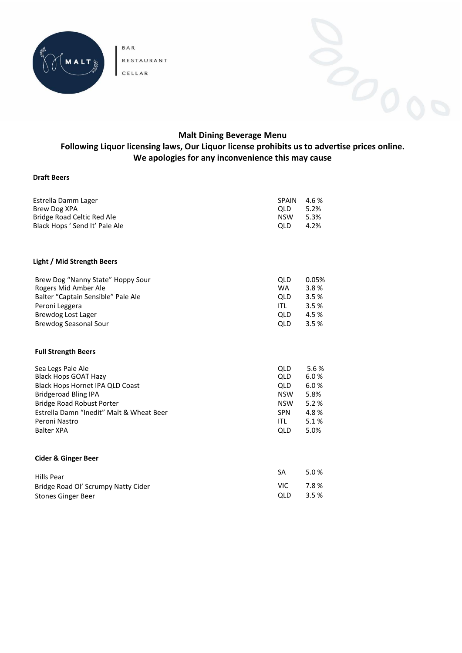

BAR RESTAURANT **CELLAR** 



# **Malt Dining Beverage Menu We apologies for any inconvenience this may cause**

#### **Draft Beers**

| Estrella Damm Lager                      | <b>SPAIN</b> | 4.6%  |
|------------------------------------------|--------------|-------|
| <b>Brew Dog XPA</b>                      | QLD          | 5.2%  |
| <b>Bridge Road Celtic Red Ale</b>        | NSW          | 5.3%  |
| Black Hops ' Send It' Pale Ale           | QLD          | 4.2%  |
| Light / Mid Strength Beers               |              |       |
| Brew Dog "Nanny State" Hoppy Sour        | <b>QLD</b>   | 0.05% |
| Rogers Mid Amber Ale                     | <b>WA</b>    | 3.8%  |
| Balter "Captain Sensible" Pale Ale       | QLD          | 3.5%  |
| Peroni Leggera                           | ITL          | 3.5%  |
| Brewdog Lost Lager                       | QLD          | 4.5 % |
| <b>Brewdog Seasonal Sour</b>             | QLD          | 3.5%  |
| <b>Full Strength Beers</b>               |              |       |
| Sea Legs Pale Ale                        | <b>QLD</b>   | 5.6%  |
| <b>Black Hops GOAT Hazy</b>              | QLD          | 6.0%  |
| Black Hops Hornet IPA QLD Coast          | QLD          | 6.0%  |
| <b>Bridgeroad Bling IPA</b>              | <b>NSW</b>   | 5.8%  |
| Bridge Road Robust Porter                | <b>NSW</b>   | 5.2%  |
| Estrella Damn "Inedit" Malt & Wheat Beer | SPN          | 4.8%  |
| Peroni Nastro                            | ITL          | 5.1%  |
| <b>Balter XPA</b>                        | <b>QLD</b>   | 5.0%  |
| <b>Cider &amp; Ginger Beer</b>           |              |       |
| Hills Pear                               | SA           | 5.0%  |
| Bridge Road Ol' Scrumpy Natty Cider      | VIC.         | 7.8%  |
| <b>Stones Ginger Beer</b>                | QLD          | 3.5%  |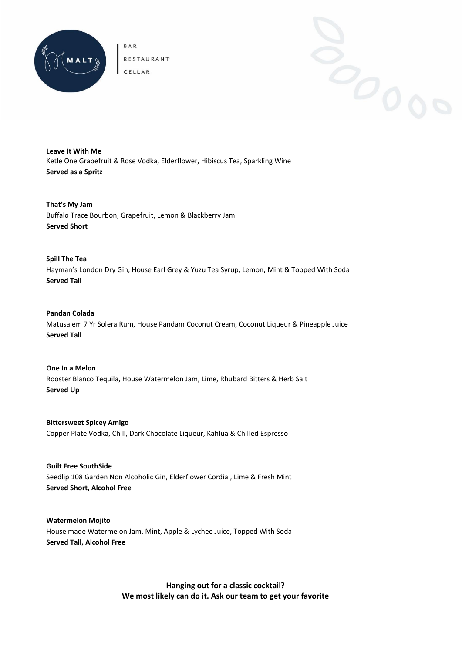

BAR RESTAURANT CELLAR

**Leave It With Me** Ketle One Grapefruit & Rose Vodka, Elderflower, Hibiscus Tea, Sparkling Wine **Served as a Spritz**

**That's My Jam** Buffalo Trace Bourbon, Grapefruit, Lemon & Blackberry Jam **Served Short**

**Spill The Tea** Hayman's London Dry Gin, House Earl Grey & Yuzu Tea Syrup, Lemon, Mint & Topped With Soda **Served Tall**

**Pandan Colada** Matusalem 7 Yr Solera Rum, House Pandam Coconut Cream, Coconut Liqueur & Pineapple Juice **Served Tall**

**One In a Melon** Rooster Blanco Tequila, House Watermelon Jam, Lime, Rhubard Bitters & Herb Salt **Served Up**

**Bittersweet Spicey Amigo** Copper Plate Vodka, Chill, Dark Chocolate Liqueur, Kahlua & Chilled Espresso

**Guilt Free SouthSide** Seedlip 108 Garden Non Alcoholic Gin, Elderflower Cordial, Lime & Fresh Mint **Served Short, Alcohol Free**

**Watermelon Mojito**  House made Watermelon Jam, Mint, Apple & Lychee Juice, Topped With Soda **Served Tall, Alcohol Free**

> **Hanging out for a classic cocktail? We most likely can do it. Ask our team to get your favorite**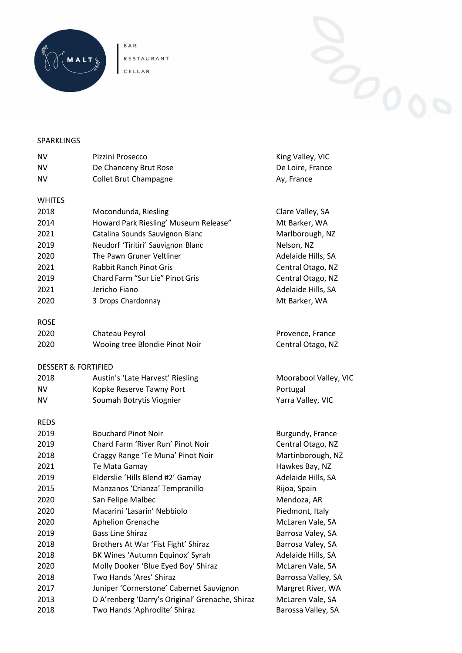

BAR<br>RESTAURANT<br>CELLAR



## SPARKLINGS

| NV          | Pizzini Prosecco                                | King Valley, VIC      |  |
|-------------|-------------------------------------------------|-----------------------|--|
| NV          | De Chanceny Brut Rose                           | De Loire, France      |  |
| NV          | <b>Collet Brut Champagne</b>                    | Ay, France            |  |
| WHITES      |                                                 |                       |  |
| 2018        | Mocondunda, Riesling                            | Clare Valley, SA      |  |
| 2014        | Howard Park Riesling' Museum Release"           | Mt Barker, WA         |  |
| 2021        | Catalina Sounds Sauvignon Blanc                 | Marlborough, NZ       |  |
| 2019        | Neudorf 'Tiritiri' Sauvignon Blanc              | Nelson, NZ            |  |
| 2020        | The Pawn Gruner Veltliner                       | Adelaide Hills, SA    |  |
| 2021        | <b>Rabbit Ranch Pinot Gris</b>                  | Central Otago, NZ     |  |
| 2019        | Chard Farm "Sur Lie" Pinot Gris                 | Central Otago, NZ     |  |
| 2021        | Jericho Fiano                                   | Adelaide Hills, SA    |  |
| 2020        | 3 Drops Chardonnay                              | Mt Barker, WA         |  |
| <b>ROSE</b> |                                                 |                       |  |
| 2020        | Chateau Peyrol                                  | Provence, France      |  |
| 2020        | Wooing tree Blondie Pinot Noir                  | Central Otago, NZ     |  |
|             | <b>DESSERT &amp; FORTIFIED</b>                  |                       |  |
| 2018        | Austin's 'Late Harvest' Riesling                | Moorabool Valley, VIC |  |
| NV          | Kopke Reserve Tawny Port                        | Portugal              |  |
| ΝV          | Soumah Botrytis Viognier                        | Yarra Valley, VIC     |  |
| REDS        |                                                 |                       |  |
| 2019        | <b>Bouchard Pinot Noir</b>                      | Burgundy, France      |  |
| 2019        | Chard Farm 'River Run' Pinot Noir               | Central Otago, NZ     |  |
| 2018        | Craggy Range 'Te Muna' Pinot Noir               | Martinborough, NZ     |  |
| 2021        | Te Mata Gamay                                   | Hawkes Bay, NZ        |  |
| 2019        | Elderslie 'Hills Blend #2' Gamay                | Adelaide Hills, SA    |  |
| 2015        | Manzanos 'Crianza' Tempranillo                  | Rijoa, Spain          |  |
| 2020        | San Felipe Malbec                               | Mendoza, AR           |  |
| 2020        | Macarini 'Lasarin' Nebbiolo                     | Piedmont, Italy       |  |
| 2020        | Aphelion Grenache                               | McLaren Vale, SA      |  |
| 2019        | <b>Bass Line Shiraz</b>                         | Barrosa Valey, SA     |  |
| 2018        | Brothers At War 'Fist Fight' Shiraz             | Barrosa Valey, SA     |  |
| 2018        | BK Wines 'Autumn Equinox' Syrah                 | Adelaide Hills, SA    |  |
| 2020        | Molly Dooker 'Blue Eyed Boy' Shiraz             | McLaren Vale, SA      |  |
| 2018        | Two Hands 'Ares' Shiraz                         | Barrossa Valley, SA   |  |
| 2017        | Juniper 'Cornerstone' Cabernet Sauvignon        | Margret River, WA     |  |
| 2013        | D A'renberg 'Darry's Original' Grenache, Shiraz | McLaren Vale, SA      |  |
| 2018        | Two Hands 'Aphrodite' Shiraz                    | Barossa Valley, SA    |  |
|             |                                                 |                       |  |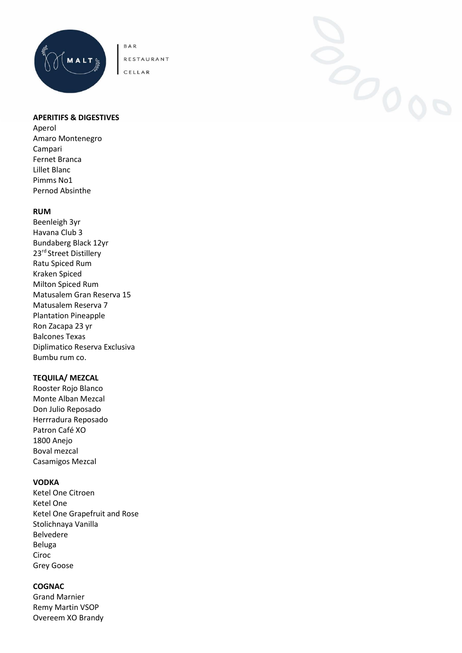

CELLAR

#### **APERITIFS & DIGESTIVES**

Aperol Amaro Montenegro Campari Fernet Branca Lillet Blanc Pimms No1 Pernod Absinthe

#### **RUM**

Beenleigh 3yr Havana Club 3 Bundaberg Black 12yr 23rd Street Distillery Ratu Spiced Rum Kraken Spiced Milton Spiced Rum Matusalem Gran Reserva 15 Matusalem Reserva 7 Plantation Pineapple Ron Zacapa 23 yr Balcones Texas Diplimatico Reserva Exclusiva Bumbu rum co.

# **TEQUILA/ MEZCAL**

Rooster Rojo Blanco Monte Alban Mezcal Don Julio Reposado Herrradura Reposado Patron Café XO 1800 Anejo Boval mezcal Casamigos Mezcal

#### **VODKA**

Ketel One Citroen Ketel One Ketel One Grapefruit and Rose Stolichnaya Vanilla Belvedere Beluga Ciroc Grey Goose

### **COGNAC**

Grand Marnier Remy Martin VSOP Overeem XO Brandy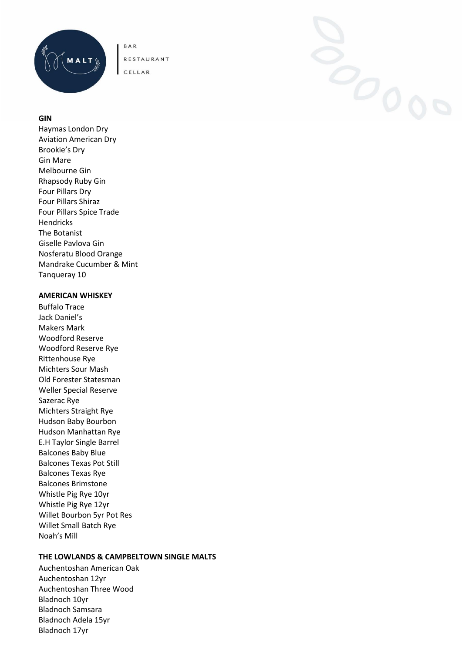

CELLAR

### **GIN**

Haymas London Dry Aviation American Dry Brookie's Dry Gin Mare Melbourne Gin Rhapsody Ruby Gin Four Pillars Dry Four Pillars Shiraz Four Pillars Spice Trade Hendricks The Botanist Giselle Pavlova Gin Nosferatu Blood Orange Mandrake Cucumber & Mint Tanqueray 10

#### **AMERICAN WHISKEY**

Buffalo Trace Jack Daniel's Makers Mark Woodford Reserve Woodford Reserve Rye Rittenhouse Rye Michters Sour Mash Old Forester Statesman Weller Special Reserve Sazerac Rye Michters Straight Rye Hudson Baby Bourbon Hudson Manhattan Rye E.H Taylor Single Barrel Balcones Baby Blue Balcones Texas Pot Still Balcones Texas Rye Balcones Brimstone Whistle Pig Rye 10yr Whistle Pig Rye 12yr Willet Bourbon 5yr Pot Res Willet Small Batch Rye Noah's Mill

# **THE LOWLANDS & CAMPBELTOWN SINGLE MALTS**

Auchentoshan American Oak Auchentoshan 12yr Auchentoshan Three Wood Bladnoch 10yr Bladnoch Samsara Bladnoch Adela 15yr Bladnoch 17yr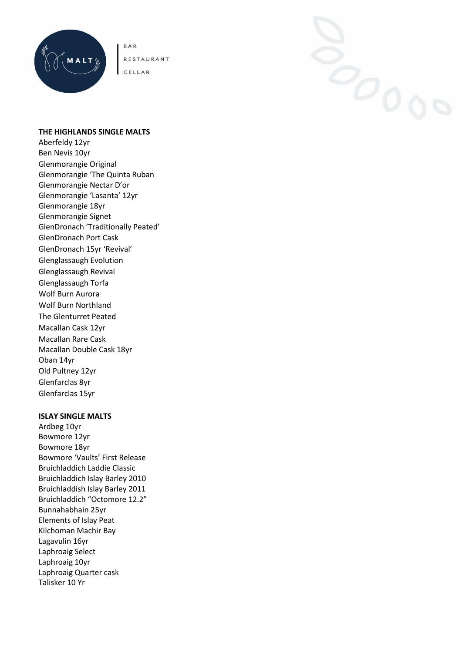

CELLAR

#### **THE HIGHLANDS SINGLE MALTS**

Aberfeldy 12yr Ben Nevis 10yr Glenmorangie Original Glenmorangie 'The Quinta Ruban Glenmorangie Nectar D'or Glenmorangie 'Lasanta' 12yr Glenmorangie 18yr Glenmorangie Signet GlenDronach 'Traditionally Peated' GlenDronach Port Cask GlenDronach 15yr 'Revival' Glenglassaugh Evolution Glenglassaugh Revival Glenglassaugh Torfa Wolf Burn Aurora Wolf Burn Northland The Glenturret Peated Macallan Cask 12yr Macallan Rare Cask Macallan Double Cask 18yr Oban 14yr Old Pultney 12yr Glenfarclas 8yr Glenfarclas 15yr

#### **ISLAY SINGLE MALTS**

Ardbeg 10yr Bowmore 12yr Bowmore 18yr Bowmore 'Vaults' First Release Bruichladdich Laddie Classic Bruichladdich Islay Barley 2010 Bruichladdish Islay Barley 2011 Bruichladdich "Octomore 12.2" Bunnahabhain 25yr Elements of Islay Peat Kilchoman Machir Bay Lagavulin 16yr Laphroaig Select Laphroaig 10yr Laphroaig Quarter cask Talisker 10 Yr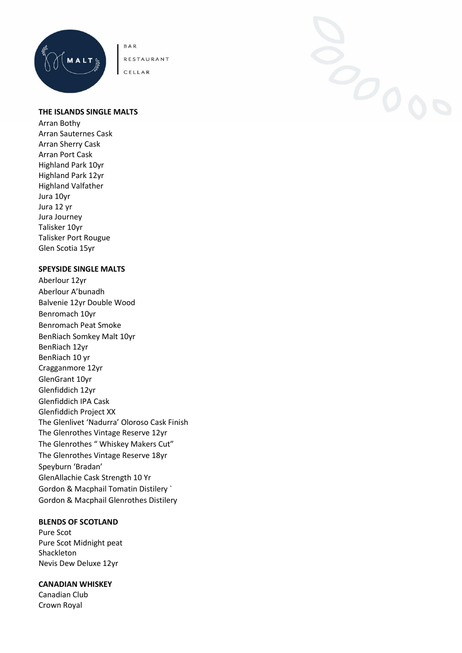

CELLAR

#### **THE ISLANDS SINGLE MALTS**

Arran Bothy Arran Sauternes Cask Arran Sherry Cask Arran Port Cask Highland Park 10yr Highland Park 12yr Highland Valfather Jura 10yr Jura 12 yr Jura Journey Talisker 10yr Talisker Port Rougue Glen Scotia 15yr

#### **SPEYSIDE SINGLE MALTS**

Aberlour 12yr Aberlour A'bunadh Balvenie 12yr Double Wood Benromach 10yr Benromach Peat Smoke BenRiach Somkey Malt 10yr BenRiach 12yr BenRiach 10 yr Cragganmore 12yr GlenGrant 10yr Glenfiddich 12yr Glenfiddich IPA Cask Glenfiddich Project XX The Glenlivet 'Nadurra' Oloroso Cask Finish The Glenrothes Vintage Reserve 12yr The Glenrothes " Whiskey Makers Cut" The Glenrothes Vintage Reserve 18yr Speyburn 'Bradan' GlenAllachie Cask Strength 10 Yr Gordon & Macphail Tomatin Distilery ` Gordon & Macphail Glenrothes Distilery

# **BLENDS OF SCOTLAND**

Pure Scot Pure Scot Midnight peat Shackleton Nevis Dew Deluxe 12yr

#### **CANADIAN WHISKEY**

Canadian Club Crown Royal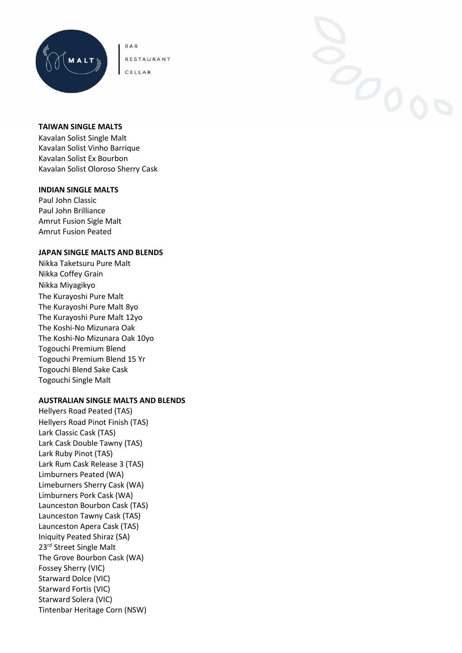

CELLAR



#### **TAIWAN SINGLE MALTS**

Kavalan Solist Single Malt Kavalan Solist Vinho Barrique Kavalan Solist Ex Bourbon Kavalan Solist Oloroso Sherry Cask

#### **INDIAN SINGLE MALTS**

Paul John Classic Paul John Brilliance Amrut Fusion Sigle Malt Amrut Fusion Peated

#### **JAPAN SINGLE MALTS AND BLENDS**

Nikka Taketsuru Pure Malt Nikka Coffey Grain Nikka Miyagikyo The Kurayoshi Pure Malt The Kurayoshi Pure Malt 8yo The Kurayoshi Pure Malt 12yo The Koshi-No Mizunara Oak The Koshi-No Mizunara Oak 10yo Togouchi Premium Blend Togouchi Premium Blend 15 Yr Togouchi Blend Sake Cask Togouchi Single Malt

#### **AUSTRALIAN SINGLE MALTS AND BLENDS**

Hellyers Road Peated (TAS) Hellyers Road Pinot Finish (TAS) Lark Classic Cask (TAS) Lark Cask Double Tawny (TAS) Lark Ruby Pinot (TAS) Lark Rum Cask Release 3 (TAS) Limburners Peated (WA) Limeburners Sherry Cask (WA) Limburners Pork Cask (WA) Launceston Bourbon Cask (TAS) Launceston Tawny Cask (TAS) Launceston Apera Cask (TAS) Iniquity Peated Shiraz (SA) 23rd Street Single Malt The Grove Bourbon Cask (WA) Fossey Sherry (VIC) Starward Dolce (VIC) Starward Fortis (VIC) Starward Solera (VIC) Tintenbar Heritage Corn (NSW)